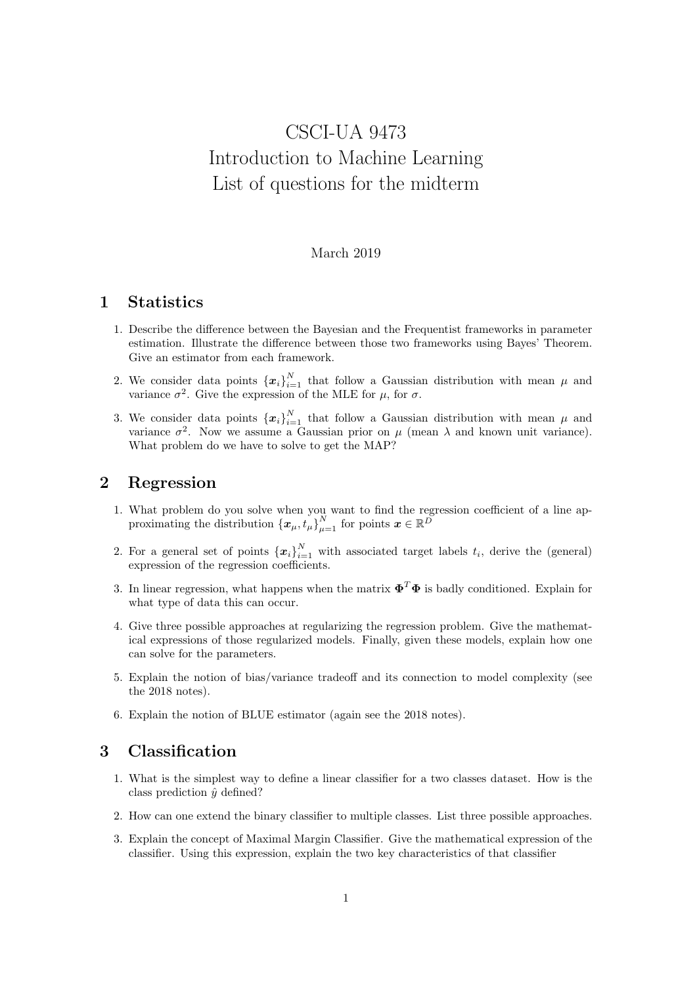# CSCI-UA 9473 Introduction to Machine Learning List of questions for the midterm

#### March 2019

### 1 Statistics

- 1. Describe the difference between the Bayesian and the Frequentist frameworks in parameter estimation. Illustrate the difference between those two frameworks using Bayes' Theorem. Give an estimator from each framework.
- 2. We consider data points  $\{x_i\}_{i=1}^N$  that follow a Gaussian distribution with mean  $\mu$  and variance  $\sigma^2$ . Give the expression of the MLE for  $\mu$ , for  $\sigma$ .
- 3. We consider data points  $\{x_i\}_{i=1}^N$  that follow a Gaussian distribution with mean  $\mu$  and variance  $\sigma^2$ . Now we assume a Gaussian prior on  $\mu$  (mean  $\lambda$  and known unit variance). What problem do we have to solve to get the MAP?

## 2 Regression

- 1. What problem do you solve when you want to find the regression coefficient of a line approximating the distribution  $\left\{ x_{\mu}, t_{\mu} \right\}_{\mu=1}^{N}$  for points  $\boldsymbol{x} \in \mathbb{R}^{\tilde{D}}$
- 2. For a general set of points  $\{x_i\}_{i=1}^N$  with associated target labels  $t_i$ , derive the (general) expression of the regression coefficients.
- 3. In linear regression, what happens when the matrix  $\mathbf{\Phi}^T \mathbf{\Phi}$  is badly conditioned. Explain for what type of data this can occur.
- 4. Give three possible approaches at regularizing the regression problem. Give the mathematical expressions of those regularized models. Finally, given these models, explain how one can solve for the parameters.
- 5. Explain the notion of bias/variance tradeoff and its connection to model complexity (see the 2018 notes).
- 6. Explain the notion of BLUE estimator (again see the 2018 notes).

#### 3 Classification

- 1. What is the simplest way to define a linear classifier for a two classes dataset. How is the class prediction  $\hat{y}$  defined?
- 2. How can one extend the binary classifier to multiple classes. List three possible approaches.
- 3. Explain the concept of Maximal Margin Classifier. Give the mathematical expression of the classifier. Using this expression, explain the two key characteristics of that classifier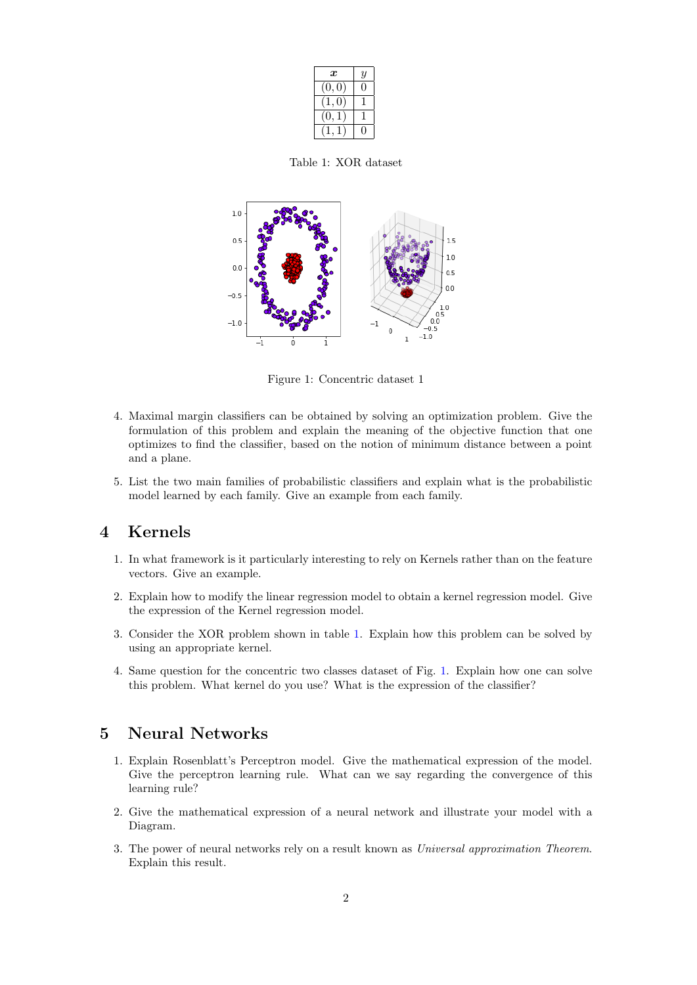| $\boldsymbol{x}$ | $\overline{y}$ |
|------------------|----------------|
| ΊΟ.<br>O         |                |
|                  |                |
|                  |                |
|                  |                |

<span id="page-1-0"></span>Table 1: XOR dataset



<span id="page-1-1"></span>Figure 1: Concentric dataset 1

- 4. Maximal margin classifiers can be obtained by solving an optimization problem. Give the formulation of this problem and explain the meaning of the objective function that one optimizes to find the classifier, based on the notion of minimum distance between a point and a plane.
- 5. List the two main families of probabilistic classifiers and explain what is the probabilistic model learned by each family. Give an example from each family.

## 4 Kernels

- 1. In what framework is it particularly interesting to rely on Kernels rather than on the feature vectors. Give an example.
- 2. Explain how to modify the linear regression model to obtain a kernel regression model. Give the expression of the Kernel regression model.
- 3. Consider the XOR problem shown in table [1.](#page-1-0) Explain how this problem can be solved by using an appropriate kernel.
- 4. Same question for the concentric two classes dataset of Fig. [1.](#page-1-1) Explain how one can solve this problem. What kernel do you use? What is the expression of the classifier?

#### 5 Neural Networks

- 1. Explain Rosenblatt's Perceptron model. Give the mathematical expression of the model. Give the perceptron learning rule. What can we say regarding the convergence of this learning rule?
- 2. Give the mathematical expression of a neural network and illustrate your model with a Diagram.
- 3. The power of neural networks rely on a result known as Universal approximation Theorem. Explain this result.